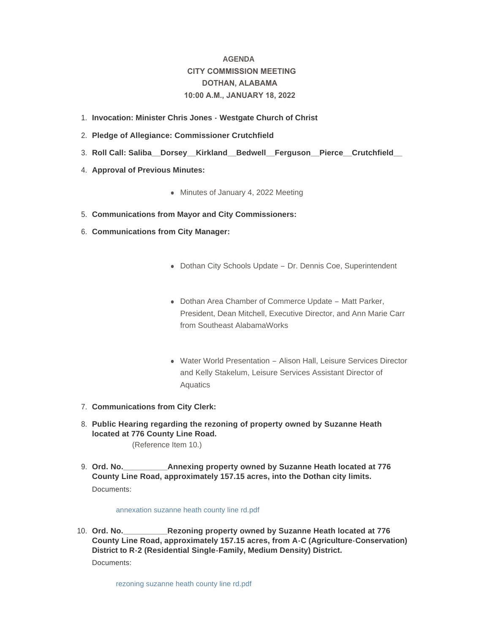# **AGENDA CITY COMMISSION MEETING DOTHAN, ALABAMA 10:00 A.M., JANUARY 18, 2022**

- **Invocation: Minister Chris Jones Westgate Church of Christ** 1.
- **Pledge of Allegiance: Commissioner Crutchfield** 2.
- **Roll Call: Saliba\_\_Dorsey\_\_Kirkland\_\_Bedwell\_\_Ferguson\_\_Pierce\_\_Crutchfield\_\_**  3.
- 4. **Approval of Previous Minutes:** 
	- Minutes of January 4, 2022 Meeting
- **Communications from Mayor and City Commissioners:** 5.
- **Communications from City Manager:** 6.
	- Dothan City Schools Update Dr. Dennis Coe, Superintendent
	- Dothan Area Chamber of Commerce Update Matt Parker, President, Dean Mitchell, Executive Director, and Ann Marie Carr from Southeast AlabamaWorks
	- Water World Presentation Alison Hall, Leisure Services Director and Kelly Stakelum, Leisure Services Assistant Director of Aquatics
- **Communications from City Clerk:** 7.
- **Public Hearing regarding the rezoning of property owned by Suzanne Heath**  8. **located at 776 County Line Road.** (Reference Item 10.)
- **Annexing property owned by Suzanne Heath located at 776 County Line Road, approximately 157.15 acres, into the Dothan city limits.** 9. Ord. No. Documents:

## [annexation suzanne heath county line rd.pdf](http://www.dothan.org/AgendaCenter/ViewFile/Item/7546?fileID=11853)

**Rezoning property owned by Suzanne Heath located at 776 County Line Road, approximately 157.15 acres, from A-C (Agriculture-Conservation) District to R-2 (Residential Single-Family, Medium Density) District.** 10. Ord. No.

Documents: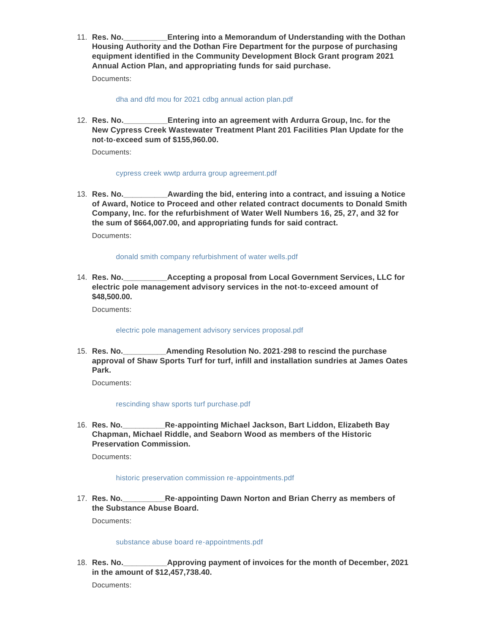**Entering into a Memorandum of Understanding with the Dothan Housing Authority and the Dothan Fire Department for the purpose of purchasing equipment identified in the Community Development Block Grant program 2021 Annual Action Plan, and appropriating funds for said purchase.** 11. **Res. No.** 

Documents:

[dha and dfd mou for 2021 cdbg annual action plan.pdf](http://www.dothan.org/AgendaCenter/ViewFile/Item/7548?fileID=11855)

**Entering into an agreement with Ardurra Group, Inc. for the New Cypress Creek Wastewater Treatment Plant 201 Facilities Plan Update for the not-to-exceed sum of \$155,960.00.** 12. **Res. No.** 

Documents:

#### [cypress creek wwtp ardurra group agreement.pdf](http://www.dothan.org/AgendaCenter/ViewFile/Item/7549?fileID=11856)

Awarding the bid, entering into a contract, and issuing a Notice **of Award, Notice to Proceed and other related contract documents to Donald Smith Company, Inc. for the refurbishment of Water Well Numbers 16, 25, 27, and 32 for the sum of \$664,007.00, and appropriating funds for said contract.** 13. Res. No.

Documents:

## [donald smith company refurbishment of water wells.pdf](http://www.dothan.org/AgendaCenter/ViewFile/Item/7550?fileID=11857)

**Res. No.\_\_\_\_\_\_\_\_\_\_Accepting a proposal from Local Government Services, LLC for**  14. **electric pole management advisory services in the not-to-exceed amount of \$48,500.00.**

Documents:

#### [electric pole management advisory services proposal.pdf](http://www.dothan.org/AgendaCenter/ViewFile/Item/7551?fileID=11858)

**Amending Resolution No. 2021-298 to rescind the purchase approval of Shaw Sports Turf for turf, infill and installation sundries at James Oates Park.** 15. Res. No.

Documents:

# [rescinding shaw sports turf purchase.pdf](http://www.dothan.org/AgendaCenter/ViewFile/Item/7552?fileID=11859)

**Re-appointing Michael Jackson, Bart Liddon, Elizabeth Bay Chapman, Michael Riddle, and Seaborn Wood as members of the Historic Preservation Commission.** 16. **Res. No.** 

Documents:

#### [historic preservation commission re-appointments.pdf](http://www.dothan.org/AgendaCenter/ViewFile/Item/7553?fileID=11860)

**Re-appointing Dawn Norton and Brian Cherry as members of the Substance Abuse Board.** 17. Res. No.

Documents:

## [substance abuse board re-appointments.pdf](http://www.dothan.org/AgendaCenter/ViewFile/Item/7554?fileID=11861)

**Approving payment of invoices for the month of December, 2021 in the amount of \$12,457,738.40.** 18. Res. No.

Documents: